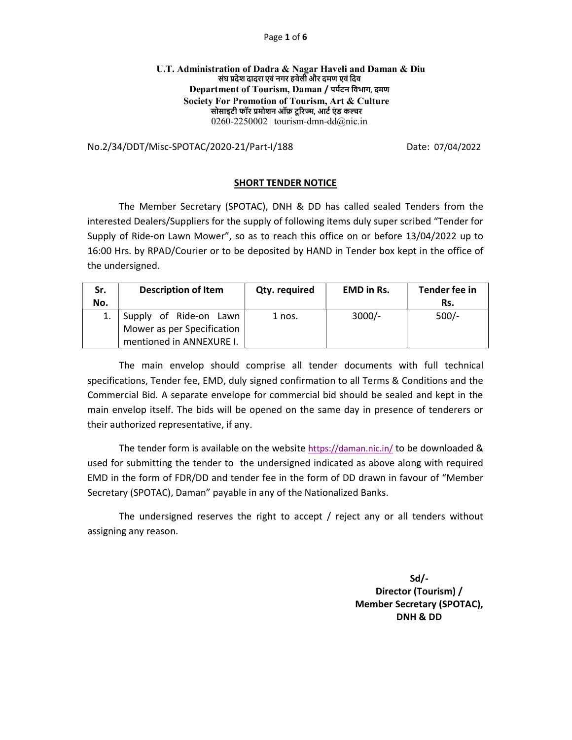#### Page 1 of 6

### U.T. Administration of Dadra & Nagar Haveli and Daman & Diu संघ प्रदेश दादरा एवं नगर हवेली और दमण एवं दिव Department of Tourism, Daman / पर्यटन विभाग, दमण Society For Promotion of Tourism, Art & Culture सोसाइटी फॉर प्रमोशन ऑफ़ टूरिज्म, आर्ट एंड कल्चर 0260-2250002 | tourism-dmn-dd $@$ nic.in

No.2/34/DDT/Misc-SPOTAC/2020-21/Part-I/188 Date: 07/04/2022

### SHORT TENDER NOTICE

 The Member Secretary (SPOTAC), DNH & DD has called sealed Tenders from the interested Dealers/Suppliers for the supply of following items duly super scribed "Tender for Supply of Ride-on Lawn Mower", so as to reach this office on or before 13/04/2022 up to 16:00 Hrs. by RPAD/Courier or to be deposited by HAND in Tender box kept in the office of the undersigned.

| Sr. | <b>Description of Item</b> | Qty. required | <b>EMD in Rs.</b> | Tender fee in |
|-----|----------------------------|---------------|-------------------|---------------|
| No. |                            |               |                   | Rs.           |
|     | Supply of Ride-on Lawn     | 1 nos.        | $3000/-$          | $500/-$       |
|     | Mower as per Specification |               |                   |               |
|     | mentioned in ANNEXURE I.   |               |                   |               |

 The main envelop should comprise all tender documents with full technical specifications, Tender fee, EMD, duly signed confirmation to all Terms & Conditions and the Commercial Bid. A separate envelope for commercial bid should be sealed and kept in the main envelop itself. The bids will be opened on the same day in presence of tenderers or their authorized representative, if any.

 The tender form is available on the website https://daman.nic.in/ to be downloaded & used for submitting the tender to the undersigned indicated as above along with required EMD in the form of FDR/DD and tender fee in the form of DD drawn in favour of "Member Secretary (SPOTAC), Daman" payable in any of the Nationalized Banks.

 The undersigned reserves the right to accept / reject any or all tenders without assigning any reason.

> Sd/- Director (Tourism) / Member Secretary (SPOTAC), DNH & DD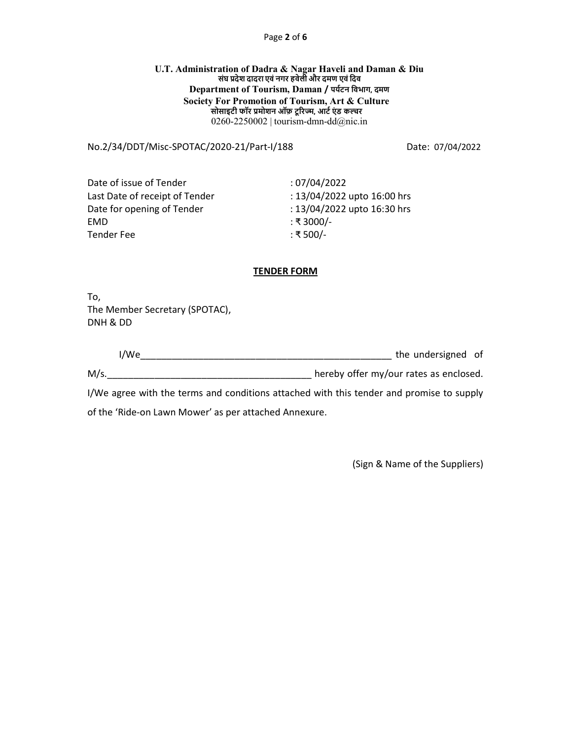### Page 2 of 6

### U.T. Administration of Dadra & Nagar Haveli and Daman & Diu सरहरू छैद छैदाइस छैद सिद्धा दिया कि सामग्री<br>संघ प्रदेश दादरा एवं नगर हवेली और दमण एवं दिव Department of Tourism, Daman / पर्यटन विभाग, दमण Society For Promotion of Tourism, Art & Culture <sub>.</sub><br>सोसाइटी फॉर प्रमोशन ऑफ़ टूरिज्म, आर्ट एंड कल्चर 0260-2250002 | tourism-dmn-dd $@$ nic.in

## No.2/34/DDT/Misc-SPOTAC/2020-21/Part-I/188 Date: 07/04/2022

Date of issue of Tender : 07/04/2022 Last Date of receipt of Tender : 13/04/2022 upto 16:00 hrs Date for opening of Tender : 13/04/2022 upto 16:30 hrs EMD : ₹ 3000/- Tender Fee : ₹ 500/-

## TENDER FORM

To, The Member Secretary (SPOTAC), DNH & DD

| $^{\prime}$ M/ $\epsilon$ | the undersigned of |  |
|---------------------------|--------------------|--|
|                           |                    |  |

M/s.\_\_\_\_\_\_\_\_\_\_\_\_\_\_\_\_\_\_\_\_\_\_\_\_\_\_\_\_\_\_\_\_\_\_\_\_\_\_\_ hereby offer my/our rates as enclosed.

I/We agree with the terms and conditions attached with this tender and promise to supply

of the 'Ride-on Lawn Mower' as per attached Annexure.

(Sign & Name of the Suppliers)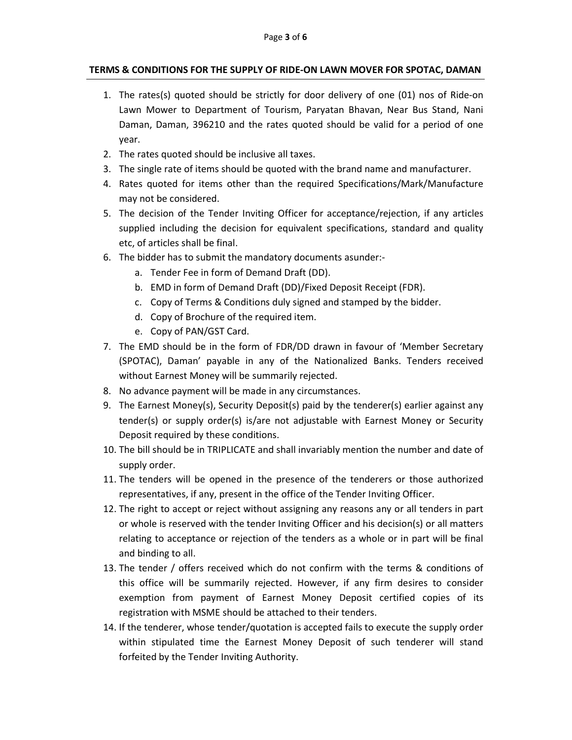# TERMS & CONDITIONS FOR THE SUPPLY OF RIDE-ON LAWN MOVER FOR SPOTAC, DAMAN

- 1. The rates(s) quoted should be strictly for door delivery of one (01) nos of Ride-on Lawn Mower to Department of Tourism, Paryatan Bhavan, Near Bus Stand, Nani Daman, Daman, 396210 and the rates quoted should be valid for a period of one year.
- 2. The rates quoted should be inclusive all taxes.
- 3. The single rate of items should be quoted with the brand name and manufacturer.
- 4. Rates quoted for items other than the required Specifications/Mark/Manufacture may not be considered.
- 5. The decision of the Tender Inviting Officer for acceptance/rejection, if any articles supplied including the decision for equivalent specifications, standard and quality etc, of articles shall be final.
- 6. The bidder has to submit the mandatory documents asunder:
	- a. Tender Fee in form of Demand Draft (DD).
	- b. EMD in form of Demand Draft (DD)/Fixed Deposit Receipt (FDR).
	- c. Copy of Terms & Conditions duly signed and stamped by the bidder.
	- d. Copy of Brochure of the required item.
	- e. Copy of PAN/GST Card.
- 7. The EMD should be in the form of FDR/DD drawn in favour of 'Member Secretary (SPOTAC), Daman' payable in any of the Nationalized Banks. Tenders received without Earnest Money will be summarily rejected.
- 8. No advance payment will be made in any circumstances.
- 9. The Earnest Money(s), Security Deposit(s) paid by the tenderer(s) earlier against any tender(s) or supply order(s) is/are not adjustable with Earnest Money or Security Deposit required by these conditions.
- 10. The bill should be in TRIPLICATE and shall invariably mention the number and date of supply order.
- 11. The tenders will be opened in the presence of the tenderers or those authorized representatives, if any, present in the office of the Tender Inviting Officer.
- 12. The right to accept or reject without assigning any reasons any or all tenders in part or whole is reserved with the tender Inviting Officer and his decision(s) or all matters relating to acceptance or rejection of the tenders as a whole or in part will be final and binding to all.
- 13. The tender / offers received which do not confirm with the terms & conditions of this office will be summarily rejected. However, if any firm desires to consider exemption from payment of Earnest Money Deposit certified copies of its registration with MSME should be attached to their tenders.
- 14. If the tenderer, whose tender/quotation is accepted fails to execute the supply order within stipulated time the Earnest Money Deposit of such tenderer will stand forfeited by the Tender Inviting Authority.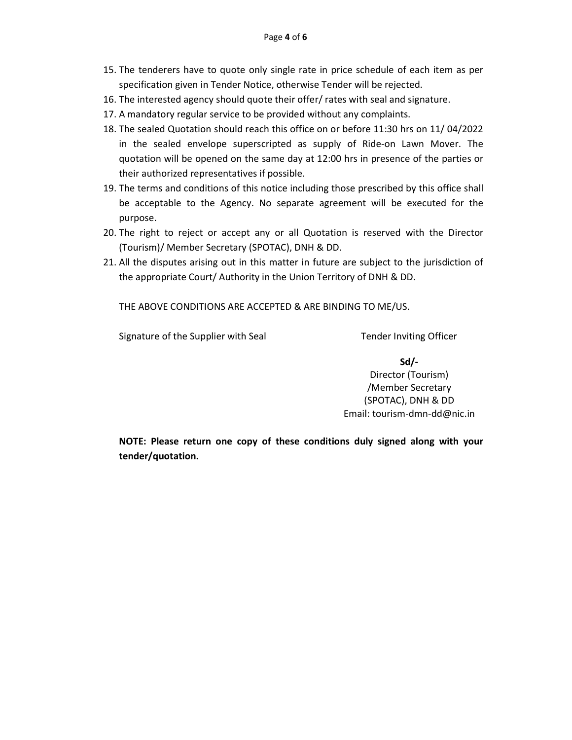- 15. The tenderers have to quote only single rate in price schedule of each item as per specification given in Tender Notice, otherwise Tender will be rejected.
- 16. The interested agency should quote their offer/ rates with seal and signature.
- 17. A mandatory regular service to be provided without any complaints.
- 18. The sealed Quotation should reach this office on or before 11:30 hrs on 11/ 04/2022 in the sealed envelope superscripted as supply of Ride-on Lawn Mover. The quotation will be opened on the same day at 12:00 hrs in presence of the parties or their authorized representatives if possible.
- 19. The terms and conditions of this notice including those prescribed by this office shall be acceptable to the Agency. No separate agreement will be executed for the purpose.
- 20. The right to reject or accept any or all Quotation is reserved with the Director (Tourism)/ Member Secretary (SPOTAC), DNH & DD.
- 21. All the disputes arising out in this matter in future are subject to the jurisdiction of the appropriate Court/ Authority in the Union Territory of DNH & DD.

THE ABOVE CONDITIONS ARE ACCEPTED & ARE BINDING TO ME/US.

Signature of the Supplier with Seal Tender Inviting Officer

Sd/- Director (Tourism) /Member Secretary (SPOTAC), DNH & DD Email: tourism-dmn-dd@nic.in

NOTE: Please return one copy of these conditions duly signed along with your tender/quotation.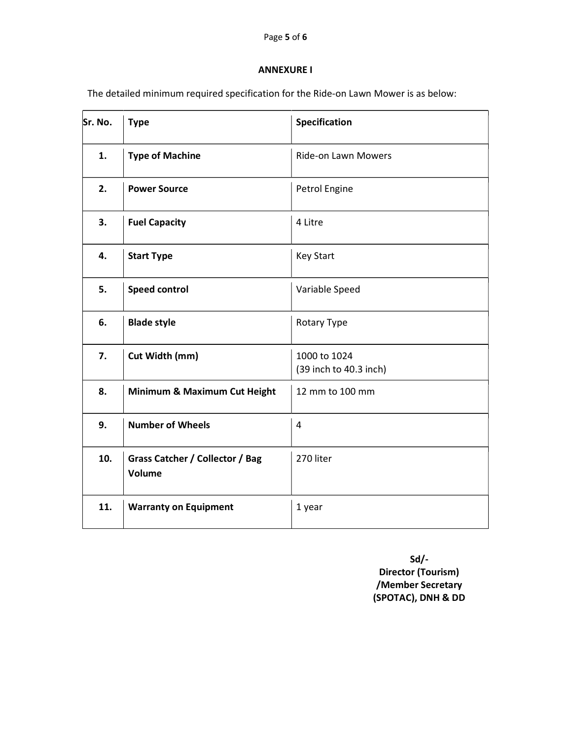## ANNEXURE I

The detailed minimum required specification for the Ride-on Lawn Mower is as below:

| Sr. No. | <b>Type</b>                               | Specification                          |  |
|---------|-------------------------------------------|----------------------------------------|--|
| 1.      | <b>Type of Machine</b>                    | Ride-on Lawn Mowers                    |  |
| 2.      | <b>Power Source</b>                       | Petrol Engine                          |  |
| 3.      | <b>Fuel Capacity</b>                      | 4 Litre                                |  |
| 4.      | <b>Start Type</b>                         | <b>Key Start</b>                       |  |
| 5.      | <b>Speed control</b>                      | Variable Speed                         |  |
| 6.      | <b>Blade style</b>                        | Rotary Type                            |  |
| 7.      | Cut Width (mm)                            | 1000 to 1024<br>(39 inch to 40.3 inch) |  |
| 8.      | Minimum & Maximum Cut Height              | 12 mm to 100 mm                        |  |
| 9.      | <b>Number of Wheels</b>                   | 4                                      |  |
| 10.     | Grass Catcher / Collector / Bag<br>Volume | 270 liter                              |  |
| 11.     | <b>Warranty on Equipment</b>              | 1 year                                 |  |

Sd/- Director (Tourism) /Member Secretary (SPOTAC), DNH & DD